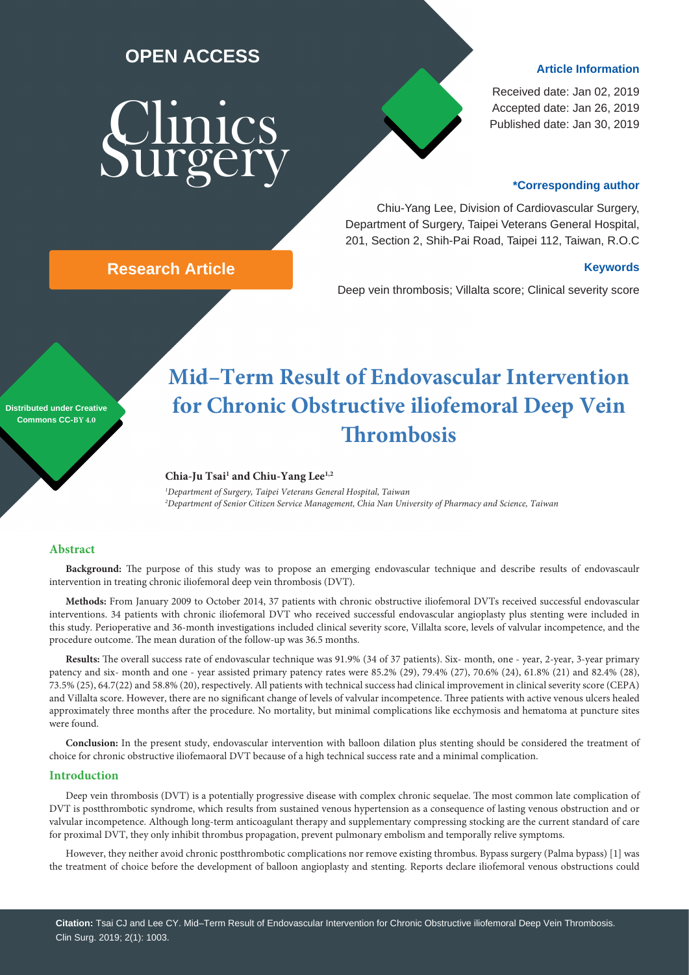### **OPEN ACCESS**

# Clinics Surgery

#### **Article Information**

Received date: Jan 02, 2019 Accepted date: Jan 26, 2019 Published date: Jan 30, 2019

#### **\*Corresponding author**

Chiu-Yang Lee, Division of Cardiovascular Surgery, Department of Surgery, Taipei Veterans General Hospital, 201, Section 2, Shih-Pai Road, Taipei 112, Taiwan, R.O.C

#### **Research Article Keywords**

Deep vein thrombosis; Villalta score; Clinical severity score

#### **Distributed under Creative Commons CC-BY 4.0**

## **Mid–Term Result of Endovascular Intervention for Chronic Obstructive iliofemoral Deep Vein Thrombosis**

#### Chia-Ju Tsai<sup>1</sup> and Chiu-Yang Lee<sup>1,2</sup>

*1 Department of Surgery, Taipei Veterans General Hospital, Taiwan 2 Department of Senior Citizen Service Management, Chia Nan University of Pharmacy and Science, Taiwan*

#### **Abstract**

**Background:** The purpose of this study was to propose an emerging endovascular technique and describe results of endovascaulr intervention in treating chronic iliofemoral deep vein thrombosis (DVT).

**Methods:** From January 2009 to October 2014, 37 patients with chronic obstructive iliofemoral DVTs received successful endovascular interventions. 34 patients with chronic iliofemoral DVT who received successful endovascular angioplasty plus stenting were included in this study. Perioperative and 36-month investigations included clinical severity score, Villalta score, levels of valvular incompetence, and the procedure outcome. The mean duration of the follow-up was 36.5 months.

**Results:** The overall success rate of endovascular technique was 91.9% (34 of 37 patients). Six- month, one - year, 2-year, 3-year primary patency and six- month and one - year assisted primary patency rates were 85.2% (29), 79.4% (27), 70.6% (24), 61.8% (21) and 82.4% (28), 73.5% (25), 64.7(22) and 58.8% (20), respectively. All patients with technical success had clinical improvement in clinical severity score (CEPA) and Villalta score. However, there are no significant change of levels of valvular incompetence. Three patients with active venous ulcers healed approximately three months after the procedure. No mortality, but minimal complications like ecchymosis and hematoma at puncture sites were found.

**Conclusion:** In the present study, endovascular intervention with balloon dilation plus stenting should be considered the treatment of choice for chronic obstructive iliofemaoral DVT because of a high technical success rate and a minimal complication.

#### **Introduction**

Deep vein thrombosis (DVT) is a potentially progressive disease with complex chronic sequelae. The most common late complication of DVT is postthrombotic syndrome, which results from sustained venous hypertension as a consequence of lasting venous obstruction and or valvular incompetence. Although long-term anticoagulant therapy and supplementary compressing stocking are the current standard of care for proximal DVT, they only inhibit thrombus propagation, prevent pulmonary embolism and temporally relive symptoms.

However, they neither avoid chronic postthrombotic complications nor remove existing thrombus. Bypass surgery (Palma bypass) [1] was the treatment of choice before the development of balloon angioplasty and stenting. Reports declare iliofemoral venous obstructions could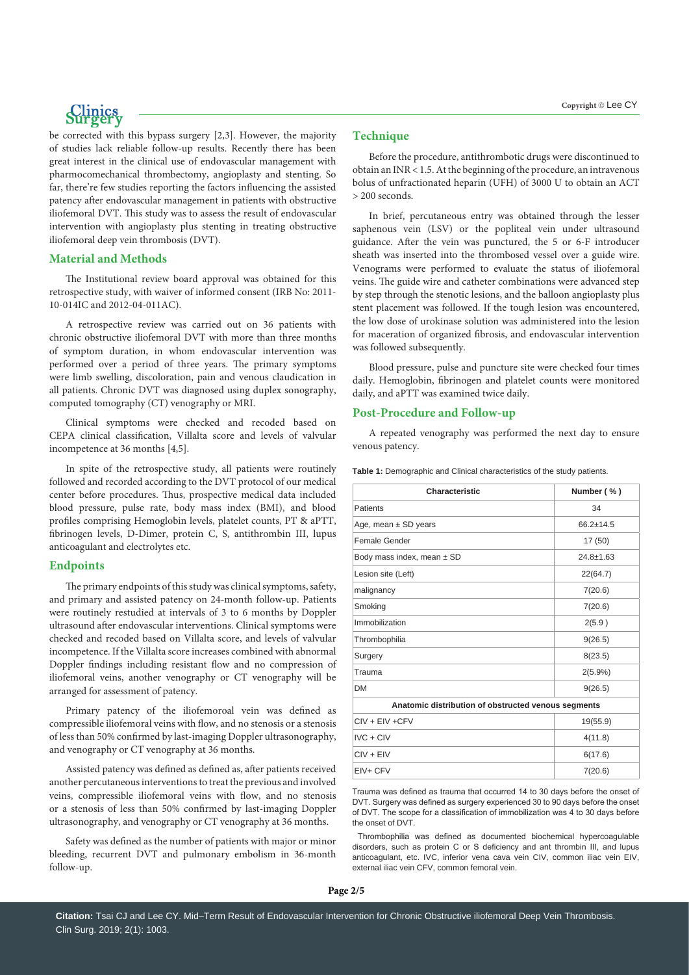be corrected with this bypass surgery [2,3]. However, the majority of studies lack reliable follow-up results. Recently there has been great interest in the clinical use of endovascular management with pharmocomechanical thrombectomy, angioplasty and stenting. So far, there're few studies reporting the factors influencing the assisted patency after endovascular management in patients with obstructive iliofemoral DVT. This study was to assess the result of endovascular intervention with angioplasty plus stenting in treating obstructive iliofemoral deep vein thrombosis (DVT).

#### **Material and Methods**

The Institutional review board approval was obtained for this retrospective study, with waiver of informed consent (IRB No: 2011- 10-014IC and 2012-04-011AC).

A retrospective review was carried out on 36 patients with chronic obstructive iliofemoral DVT with more than three months of symptom duration, in whom endovascular intervention was performed over a period of three years. The primary symptoms were limb swelling, discoloration, pain and venous claudication in all patients. Chronic DVT was diagnosed using duplex sonography, computed tomography (CT) venography or MRI.

Clinical symptoms were checked and recoded based on CEPA clinical classification, Villalta score and levels of valvular incompetence at 36 months [4,5].

In spite of the retrospective study, all patients were routinely followed and recorded according to the DVT protocol of our medical center before procedures. Thus, prospective medical data included blood pressure, pulse rate, body mass index (BMI), and blood profiles comprising Hemoglobin levels, platelet counts, PT & aPTT, fibrinogen levels, D-Dimer, protein C, S, antithrombin III, lupus anticoagulant and electrolytes etc.

#### **Endpoints**

The primary endpoints of this study was clinical symptoms, safety, and primary and assisted patency on 24-month follow-up. Patients were routinely restudied at intervals of 3 to 6 months by Doppler ultrasound after endovascular interventions. Clinical symptoms were checked and recoded based on Villalta score, and levels of valvular incompetence. If the Villalta score increases combined with abnormal Doppler findings including resistant flow and no compression of iliofemoral veins, another venography or CT venography will be arranged for assessment of patency.

Primary patency of the iliofemoroal vein was defined as compressible iliofemoral veins with flow, and no stenosis or a stenosis of less than 50% confirmed by last-imaging Doppler ultrasonography, and venography or CT venography at 36 months.

Assisted patency was defined as defined as, after patients received another percutaneous interventions to treat the previous and involved veins, compressible iliofemoral veins with flow, and no stenosis or a stenosis of less than 50% confirmed by last-imaging Doppler ultrasonography, and venography or CT venography at 36 months.

Safety was defined as the number of patients with major or minor bleeding, recurrent DVT and pulmonary embolism in 36-month follow-up.

#### **Technique**

Before the procedure, antithrombotic drugs were discontinued to obtain an INR < 1.5. At the beginning of the procedure, an intravenous bolus of unfractionated heparin (UFH) of 3000 U to obtain an ACT > 200 seconds.

In brief, percutaneous entry was obtained through the lesser saphenous vein (LSV) or the popliteal vein under ultrasound guidance. After the vein was punctured, the 5 or 6-F introducer sheath was inserted into the thrombosed vessel over a guide wire. Venograms were performed to evaluate the status of iliofemoral veins. The guide wire and catheter combinations were advanced step by step through the stenotic lesions, and the balloon angioplasty plus stent placement was followed. If the tough lesion was encountered, the low dose of urokinase solution was administered into the lesion for maceration of organized fibrosis, and endovascular intervention was followed subsequently.

Blood pressure, pulse and puncture site were checked four times daily. Hemoglobin, fibrinogen and platelet counts were monitored daily, and aPTT was examined twice daily.

#### **Post-Procedure and Follow-up**

A repeated venography was performed the next day to ensure venous patency.

|  | Table 1: Demographic and Clinical characteristics of the study patients. |
|--|--------------------------------------------------------------------------|
|--|--------------------------------------------------------------------------|

| Characteristic                                      | Number (%)    |  |  |  |
|-----------------------------------------------------|---------------|--|--|--|
| Patients                                            | 34            |  |  |  |
| Age, mean $\pm$ SD years                            | $66.2 + 14.5$ |  |  |  |
| Female Gender                                       | 17 (50)       |  |  |  |
| Body mass index, mean $\pm$ SD                      | $24.8 + 1.63$ |  |  |  |
| Lesion site (Left)                                  | 22(64.7)      |  |  |  |
| malignancy                                          | 7(20.6)       |  |  |  |
| Smoking                                             | 7(20.6)       |  |  |  |
| Immobilization                                      | 2(5.9)        |  |  |  |
| Thrombophilia                                       | 9(26.5)       |  |  |  |
| Surgery                                             | 8(23.5)       |  |  |  |
| Trauma                                              | $2(5.9\%)$    |  |  |  |
| <b>DM</b>                                           | 9(26.5)       |  |  |  |
| Anatomic distribution of obstructed venous segments |               |  |  |  |
| $CIV + EIV + CFV$                                   | 19(55.9)      |  |  |  |
| $IVC + CIV$                                         | 4(11.8)       |  |  |  |
| $CIV + EIV$                                         | 6(17.6)       |  |  |  |
| EIV+ CFV                                            | 7(20.6)       |  |  |  |

Trauma was defined as trauma that occurred 14 to 30 days before the onset of DVT. Surgery was defined as surgery experienced 30 to 90 days before the onset of DVT. The scope for a classification of immobilization was 4 to 30 days before the onset of DVT.

 Thrombophilia was defined as documented biochemical hypercoagulable disorders, such as protein C or S deficiency and ant thrombin III, and lupus anticoagulant, etc. IVC, inferior vena cava vein CIV, common iliac vein EIV, external iliac vein CFV, common femoral vein.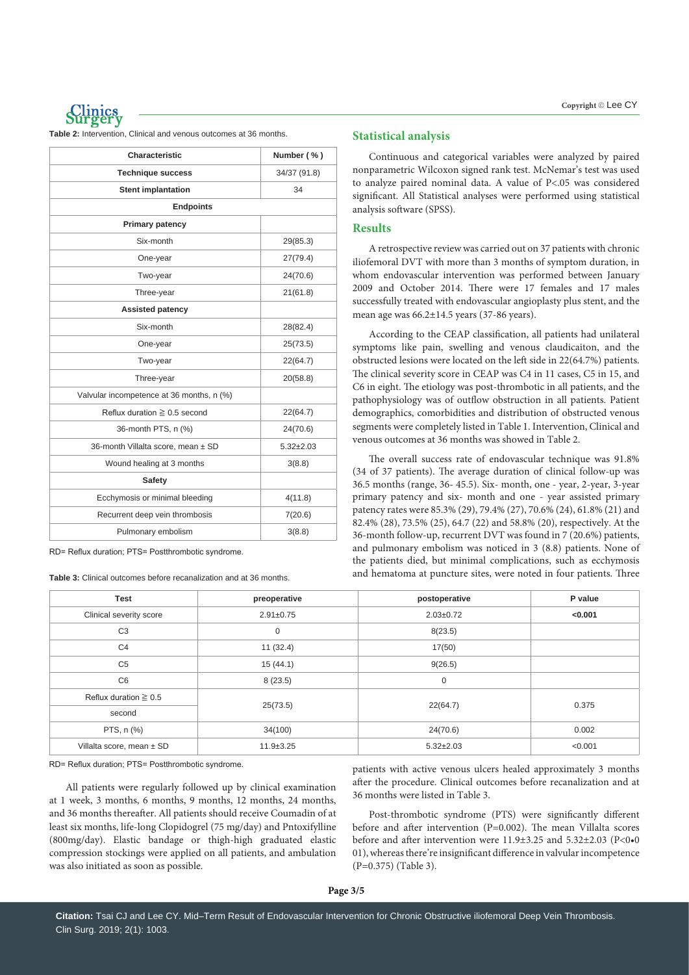

**Table 2:** Intervention, Clinical and venous outcomes at 36 months.

| Characteristic                            | Number (%)      |  |  |  |
|-------------------------------------------|-----------------|--|--|--|
| <b>Technique success</b>                  | 34/37 (91.8)    |  |  |  |
| <b>Stent implantation</b>                 | 34              |  |  |  |
| <b>Endpoints</b>                          |                 |  |  |  |
| <b>Primary patency</b>                    |                 |  |  |  |
| Six-month                                 | 29(85.3)        |  |  |  |
| One-year                                  | 27(79.4)        |  |  |  |
| Two-year                                  | 24(70.6)        |  |  |  |
| Three-year                                | 21(61.8)        |  |  |  |
| <b>Assisted patency</b>                   |                 |  |  |  |
| Six-month                                 | 28(82.4)        |  |  |  |
| One-year                                  | 25(73.5)        |  |  |  |
| Two-year                                  | 22(64.7)        |  |  |  |
| Three-year                                | 20(58.8)        |  |  |  |
| Valvular incompetence at 36 months, n (%) |                 |  |  |  |
| Reflux duration $\geq 0.5$ second         | 22(64.7)        |  |  |  |
| 36-month PTS, n (%)                       | 24(70.6)        |  |  |  |
| 36-month Villalta score, mean ± SD        | $5.32 \pm 2.03$ |  |  |  |
| Wound healing at 3 months                 | 3(8.8)          |  |  |  |
| <b>Safety</b>                             |                 |  |  |  |
| Ecchymosis or minimal bleeding            | 4(11.8)         |  |  |  |
| Recurrent deep vein thrombosis            | 7(20.6)         |  |  |  |
| Pulmonary embolism                        | 3(8.8)          |  |  |  |

RD= Reflux duration; PTS= Postthrombotic syndrome.

**Table 3:** Clinical outcomes before recanalization and at 36 months.

#### **Statistical analysis**

Continuous and categorical variables were analyzed by paired nonparametric Wilcoxon signed rank test. McNemar's test was used to analyze paired nominal data. A value of P<.05 was considered significant. All Statistical analyses were performed using statistical analysis software (SPSS).

#### **Results**

A retrospective review was carried out on 37 patients with chronic iliofemoral DVT with more than 3 months of symptom duration, in whom endovascular intervention was performed between January 2009 and October 2014. There were 17 females and 17 males successfully treated with endovascular angioplasty plus stent, and the mean age was 66.2±14.5 years (37-86 years).

According to the CEAP classification, all patients had unilateral symptoms like pain, swelling and venous claudicaiton, and the obstructed lesions were located on the left side in 22(64.7%) patients. The clinical severity score in CEAP was C4 in 11 cases, C5 in 15, and C6 in eight. The etiology was post-thrombotic in all patients, and the pathophysiology was of outflow obstruction in all patients. Patient demographics, comorbidities and distribution of obstructed venous segments were completely listed in Table 1. Intervention, Clinical and venous outcomes at 36 months was showed in Table 2.

The overall success rate of endovascular technique was 91.8% (34 of 37 patients). The average duration of clinical follow-up was 36.5 months (range, 36- 45.5). Six- month, one - year, 2-year, 3-year primary patency and six- month and one - year assisted primary patency rates were 85.3% (29), 79.4% (27), 70.6% (24), 61.8% (21) and 82.4% (28), 73.5% (25), 64.7 (22) and 58.8% (20), respectively. At the 36-month follow-up, recurrent DVT was found in 7 (20.6%) patients, and pulmonary embolism was noticed in 3 (8.8) patients. None of the patients died, but minimal complications, such as ecchymosis and hematoma at puncture sites, were noted in four patients. Three

| <b>Test</b>                | preoperative    | postoperative   | P value |
|----------------------------|-----------------|-----------------|---------|
| Clinical severity score    | $2.91 \pm 0.75$ | $2.03 + 0.72$   | < 0.001 |
| C <sub>3</sub>             | $\mathbf 0$     | 8(23.5)         |         |
| C <sub>4</sub>             | 11(32.4)        | 17(50)          |         |
| C <sub>5</sub>             | 15(44.1)        | 9(26.5)         |         |
| C <sub>6</sub>             | 8(23.5)         | 0               |         |
| Reflux duration $\geq 0.5$ | 25(73.5)        | 22(64.7)        | 0.375   |
| second                     |                 |                 |         |
| PTS, n (%)                 | 34(100)         | 24(70.6)        | 0.002   |
| Villalta score, mean ± SD  | $11.9 \pm 3.25$ | $5.32 \pm 2.03$ | < 0.001 |

RD= Reflux duration; PTS= Postthrombotic syndrome.

All patients were regularly followed up by clinical examination at 1 week, 3 months, 6 months, 9 months, 12 months, 24 months, and 36 months thereafter. All patients should receive Coumadin of at least six months, life-long Clopidogrel (75 mg/day) and Pntoxifylline (800mg/day). Elastic bandage or thigh-high graduated elastic compression stockings were applied on all patients, and ambulation was also initiated as soon as possible.

patients with active venous ulcers healed approximately 3 months after the procedure. Clinical outcomes before recanalization and at 36 months were listed in Table 3.

Post-thrombotic syndrome (PTS) were significantly different before and after intervention (P=0.002). The mean Villalta scores before and after intervention were 11.9±3.25 and 5.32±2.03 (P<0•0 01), whereas there're insignificant difference in valvular incompetence (P=0.375) (Table 3).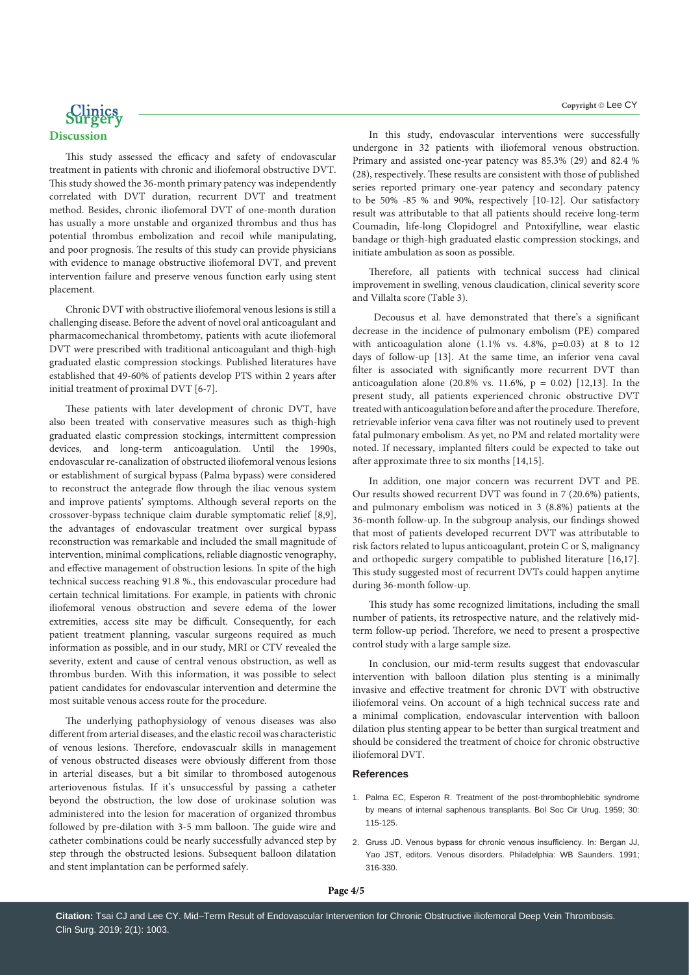

This study assessed the efficacy and safety of endovascular treatment in patients with chronic and iliofemoral obstructive DVT. This study showed the 36-month primary patency was independently correlated with DVT duration, recurrent DVT and treatment method. Besides, chronic iliofemoral DVT of one-month duration has usually a more unstable and organized thrombus and thus has potential thrombus embolization and recoil while manipulating, and poor prognosis. The results of this study can provide physicians with evidence to manage obstructive iliofemoral DVT, and prevent intervention failure and preserve venous function early using stent placement.

Chronic DVT with obstructive iliofemoral venous lesions is still a challenging disease. Before the advent of novel oral anticoagulant and pharmacomechanical thrombetomy, patients with acute iliofemoral DVT were prescribed with traditional anticoagulant and thigh-high graduated elastic compression stockings. Published literatures have established that 49-60% of patients develop PTS within 2 years after initial treatment of proximal DVT [6-7].

These patients with later development of chronic DVT, have also been treated with conservative measures such as thigh-high graduated elastic compression stockings, intermittent compression devices, and long-term anticoagulation. Until the 1990s, endovascular re-canalization of obstructed iliofemoral venous lesions or establishment of surgical bypass (Palma bypass) were considered to reconstruct the antegrade flow through the iliac venous system and improve patients' symptoms. Although several reports on the crossover-bypass technique claim durable symptomatic relief [8,9], the advantages of endovascular treatment over surgical bypass reconstruction was remarkable and included the small magnitude of intervention, minimal complications, reliable diagnostic venography, and effective management of obstruction lesions. In spite of the high technical success reaching 91.8 %., this endovascular procedure had certain technical limitations. For example, in patients with chronic iliofemoral venous obstruction and severe edema of the lower extremities, access site may be difficult. Consequently, for each patient treatment planning, vascular surgeons required as much information as possible, and in our study, MRI or CTV revealed the severity, extent and cause of central venous obstruction, as well as thrombus burden. With this information, it was possible to select patient candidates for endovascular intervention and determine the most suitable venous access route for the procedure.

The underlying pathophysiology of venous diseases was also different from arterial diseases, and the elastic recoil was characteristic of venous lesions. Therefore, endovascualr skills in management of venous obstructed diseases were obviously different from those in arterial diseases, but a bit similar to thrombosed autogenous arteriovenous fistulas. If it's unsuccessful by passing a catheter beyond the obstruction, the low dose of urokinase solution was administered into the lesion for maceration of organized thrombus followed by pre-dilation with 3-5 mm balloon. The guide wire and catheter combinations could be nearly successfully advanced step by step through the obstructed lesions. Subsequent balloon dilatation and stent implantation can be performed safely.

In this study, endovascular interventions were successfully undergone in 32 patients with iliofemoral venous obstruction. Primary and assisted one-year patency was 85.3% (29) and 82.4 % (28), respectively. These results are consistent with those of published series reported primary one-year patency and secondary patency to be 50% -85 % and 90%, respectively [10-12]. Our satisfactory result was attributable to that all patients should receive long-term Coumadin, life-long Clopidogrel and Pntoxifylline, wear elastic bandage or thigh-high graduated elastic compression stockings, and initiate ambulation as soon as possible.

Therefore, all patients with technical success had clinical improvement in swelling, venous claudication, clinical severity score and Villalta score (Table 3).

 Decousus et al. have demonstrated that there's a significant decrease in the incidence of pulmonary embolism (PE) compared with anticoagulation alone  $(1.1\%$  vs. 4.8%,  $p=0.03$ ) at 8 to 12 days of follow-up [13]. At the same time, an inferior vena caval filter is associated with significantly more recurrent DVT than anticoagulation alone (20.8% vs. 11.6%,  $p = 0.02$ ) [12,13]. In the present study, all patients experienced chronic obstructive DVT treated with anticoagulation before and after the procedure. Therefore, retrievable inferior vena cava filter was not routinely used to prevent fatal pulmonary embolism. As yet, no PM and related mortality were noted. If necessary, implanted filters could be expected to take out after approximate three to six months [14,15].

In addition, one major concern was recurrent DVT and PE. Our results showed recurrent DVT was found in 7 (20.6%) patients, and pulmonary embolism was noticed in 3 (8.8%) patients at the 36-month follow-up. In the subgroup analysis, our findings showed that most of patients developed recurrent DVT was attributable to risk factors related to lupus anticoagulant, protein C or S, malignancy and orthopedic surgery compatible to published literature [16,17]. This study suggested most of recurrent DVTs could happen anytime during 36-month follow-up.

This study has some recognized limitations, including the small number of patients, its retrospective nature, and the relatively midterm follow-up period. Therefore, we need to present a prospective control study with a large sample size.

In conclusion, our mid-term results suggest that endovascular intervention with balloon dilation plus stenting is a minimally invasive and effective treatment for chronic DVT with obstructive iliofemoral veins. On account of a high technical success rate and a minimal complication, endovascular intervention with balloon dilation plus stenting appear to be better than surgical treatment and should be considered the treatment of choice for chronic obstructive iliofemoral DVT.

#### **References**

- 1. [Palma EC, Esperon R. Treatment of the post-thrombophlebitic syndrome](https://www.ncbi.nlm.nih.gov/pubmed/14429962)  [by means of internal saphenous transplants. Bol Soc Cir Urug. 1959; 30:](https://www.ncbi.nlm.nih.gov/pubmed/14429962)  [115-125.](https://www.ncbi.nlm.nih.gov/pubmed/14429962)
- 2. Gruss JD. Venous bypass for chronic venous insufficiency. In: Bergan JJ, Yao JST, editors. Venous disorders. Philadelphia: WB Saunders. 1991; 316-330.